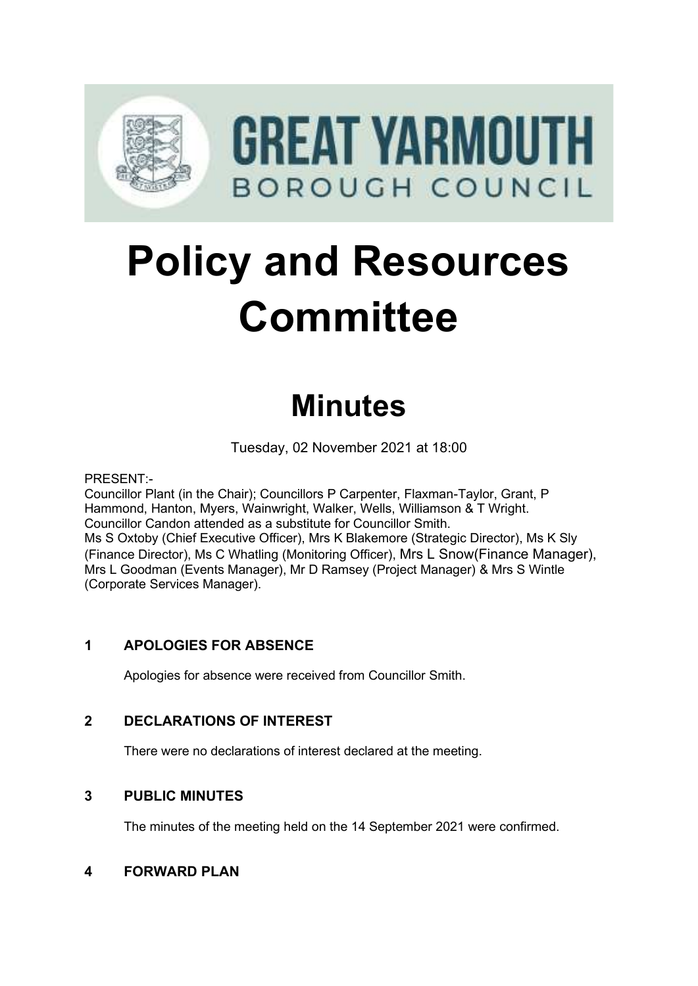

# **Policy and Resources Committee**

# **Minutes**

Tuesday, 02 November 2021 at 18:00

PRESENT:-

Councillor Plant (in the Chair); Councillors P Carpenter, Flaxman-Taylor, Grant, P Hammond, Hanton, Myers, Wainwright, Walker, Wells, Williamson & T Wright. Councillor Candon attended as a substitute for Councillor Smith. Ms S Oxtoby (Chief Executive Officer), Mrs K Blakemore (Strategic Director), Ms K Sly (Finance Director), Ms C Whatling (Monitoring Officer), Mrs L Snow(Finance Manager), Mrs L Goodman (Events Manager), Mr D Ramsey (Project Manager) & Mrs S Wintle (Corporate Services Manager).

# **1 APOLOGIES FOR ABSENCE**

Apologies for absence were received from Councillor Smith.

# **2 DECLARATIONS OF INTEREST** 2

There were no declarations of interest declared at the meeting.

#### **3 PUBLIC MINUTES** 3

The minutes of the meeting held on the 14 September 2021 were confirmed.

#### **4 FORWARD PLAN** 4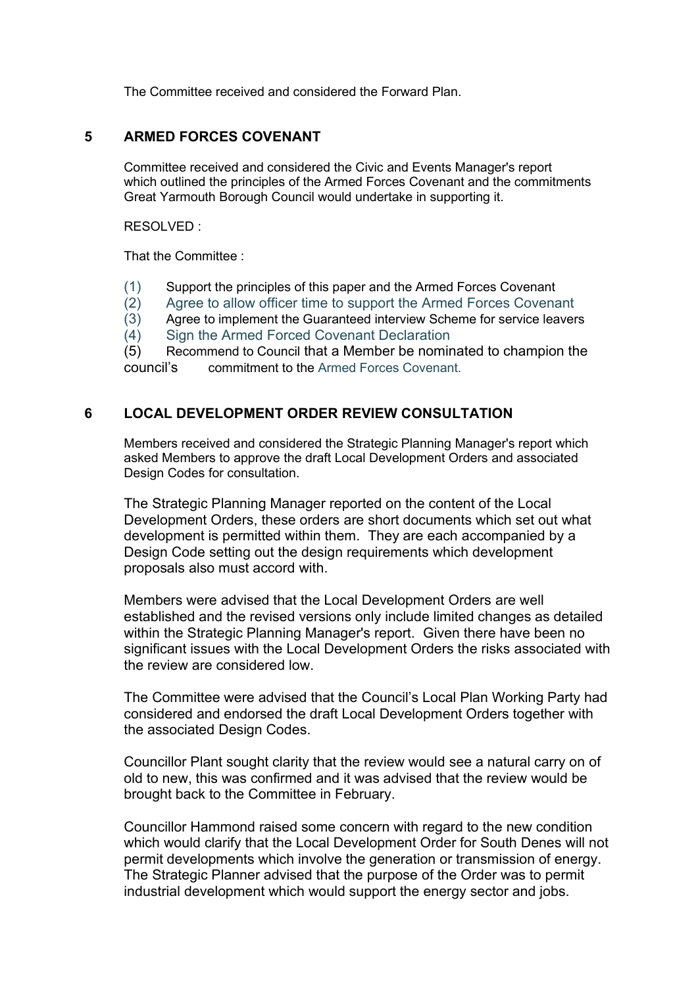The Committee received and considered the Forward Plan.

#### **5 ARMED FORCES COVENANT** 5

Committee received and considered the Civic and Events Manager's report which outlined the principles of the Armed Forces Covenant and the commitments Great Yarmouth Borough Council would undertake in supporting it.

RESOLVED :

That the Committee :

- (1) Support the principles of this paper and the Armed Forces Covenant
- (2) Agree to allow officer time to support the Armed Forces Covenant
- (3) Agree to implement the Guaranteed interview Scheme for service leavers
- (4) Sign the Armed Forced Covenant Declaration

(5) Recommend to Council that a Member be nominated to champion the council's commitment to the Armed Forces Covenant.

#### **6 LOCAL DEVELOPMENT ORDER REVIEW CONSULTATION**

Members received and considered the Strategic Planning Manager's report which asked Members to approve the draft Local Development Orders and associated Design Codes for consultation.

The Strategic Planning Manager reported on the content of the Local Development Orders, these orders are short documents which set out what development is permitted within them. They are each accompanied by a Design Code setting out the design requirements which development proposals also must accord with.

Members were advised that the Local Development Orders are well established and the revised versions only include limited changes as detailed within the Strategic Planning Manager's report. Given there have been no significant issues with the Local Development Orders the risks associated with the review are considered low.

The Committee were advised that the Council's Local Plan Working Party had considered and endorsed the draft Local Development Orders together with the associated Design Codes.

Councillor Plant sought clarity that the review would see a natural carry on of old to new, this was confirmed and it was advised that the review would be brought back to the Committee in February.

Councillor Hammond raised some concern with regard to the new condition which would clarify that the Local Development Order for South Denes will not permit developments which involve the generation or transmission of energy. The Strategic Planner advised that the purpose of the Order was to permit industrial development which would support the energy sector and jobs.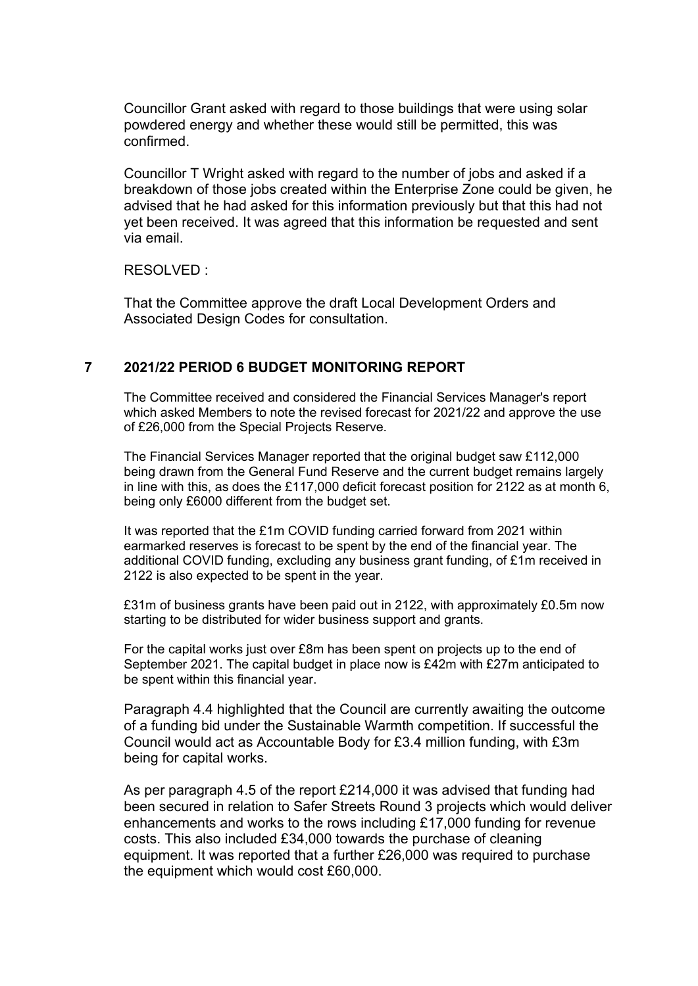Councillor Grant asked with regard to those buildings that were using solar powdered energy and whether these would still be permitted, this was confirmed.

Councillor T Wright asked with regard to the number of jobs and asked if a breakdown of those jobs created within the Enterprise Zone could be given, he advised that he had asked for this information previously but that this had not yet been received. It was agreed that this information be requested and sent via email.

RESOLVED :

That the Committee approve the draft Local Development Orders and Associated Design Codes for consultation.

#### **7 2021/22 PERIOD 6 BUDGET MONITORING REPORT** 7

The Committee received and considered the Financial Services Manager's report which asked Members to note the revised forecast for 2021/22 and approve the use of £26,000 from the Special Projects Reserve.

The Financial Services Manager reported that the original budget saw £112,000 being drawn from the General Fund Reserve and the current budget remains largely in line with this, as does the £117,000 deficit forecast position for 2122 as at month 6, being only £6000 different from the budget set.

It was reported that the £1m COVID funding carried forward from 2021 within earmarked reserves is forecast to be spent by the end of the financial year. The additional COVID funding, excluding any business grant funding, of £1m received in 2122 is also expected to be spent in the year.

£31m of business grants have been paid out in 2122, with approximately £0.5m now starting to be distributed for wider business support and grants.

For the capital works just over £8m has been spent on projects up to the end of September 2021. The capital budget in place now is £42m with £27m anticipated to be spent within this financial year.

Paragraph 4.4 highlighted that the Council are currently awaiting the outcome of a funding bid under the Sustainable Warmth competition. If successful the Council would act as Accountable Body for £3.4 million funding, with £3m being for capital works.

As per paragraph 4.5 of the report £214,000 it was advised that funding had been secured in relation to Safer Streets Round 3 projects which would deliver enhancements and works to the rows including £17,000 funding for revenue costs. This also included £34,000 towards the purchase of cleaning equipment. It was reported that a further £26,000 was required to purchase the equipment which would cost £60,000.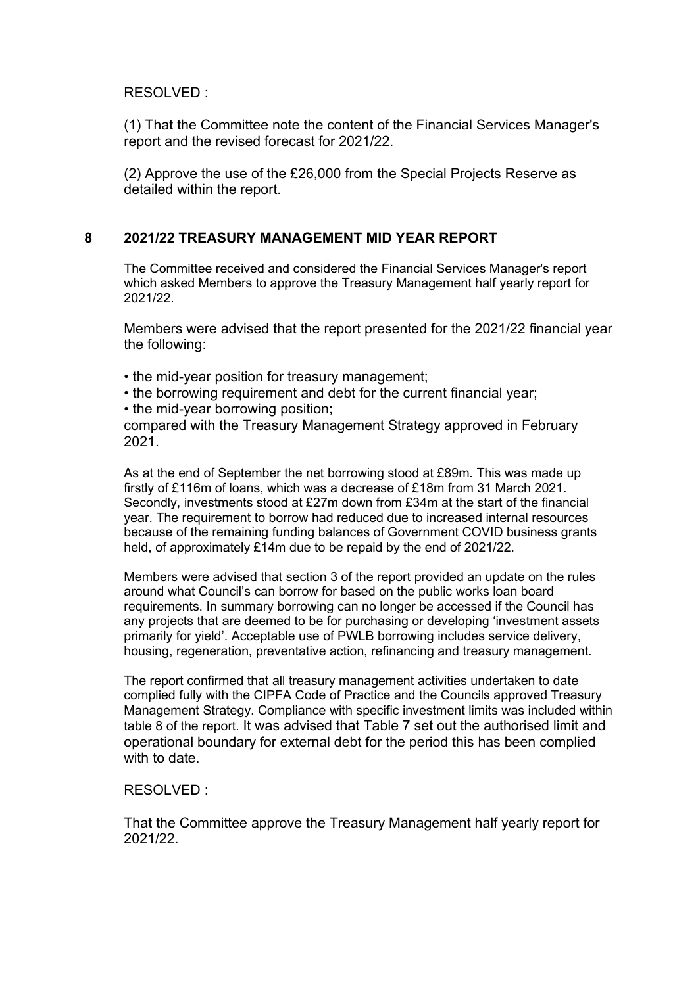#### RESOLVED :

(1) That the Committee note the content of the Financial Services Manager's report and the revised forecast for 2021/22.

(2) Approve the use of the £26,000 from the Special Projects Reserve as detailed within the report.

# 8 **2021/22 TREASURY MANAGEMENT MID YEAR REPORT**

The Committee received and considered the Financial Services Manager's report which asked Members to approve the Treasury Management half yearly report for 2021/22.

Members were advised that the report presented for the 2021/22 financial year the following:

- the mid-year position for treasury management;
- the borrowing requirement and debt for the current financial year;
- the mid-year borrowing position;

compared with the Treasury Management Strategy approved in February 2021.

As at the end of September the net borrowing stood at £89m. This was made up firstly of £116m of loans, which was a decrease of £18m from 31 March 2021. Secondly, investments stood at £27m down from £34m at the start of the financial year. The requirement to borrow had reduced due to increased internal resources because of the remaining funding balances of Government COVID business grants held, of approximately £14m due to be repaid by the end of 2021/22.

Members were advised that section 3 of the report provided an update on the rules around what Council's can borrow for based on the public works loan board requirements. In summary borrowing can no longer be accessed if the Council has any projects that are deemed to be for purchasing or developing 'investment assets primarily for yield'. Acceptable use of PWLB borrowing includes service delivery, housing, regeneration, preventative action, refinancing and treasury management.

The report confirmed that all treasury management activities undertaken to date complied fully with the CIPFA Code of Practice and the Councils approved Treasury Management Strategy. Compliance with specific investment limits was included within table 8 of the report. It was advised that Table 7 set out the authorised limit and operational boundary for external debt for the period this has been complied with to date

#### RESOLVED :

That the Committee approve the Treasury Management half yearly report for 2021/22.